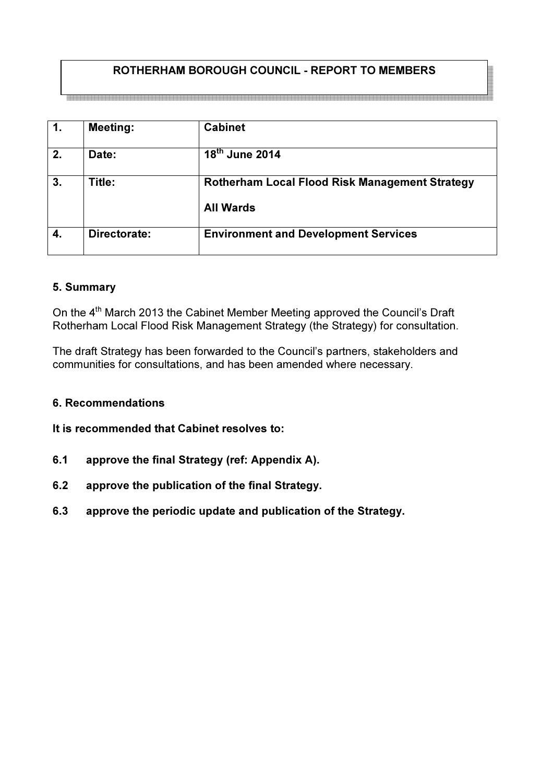## ROTHERHAM BOROUGH COUNCIL - REPORT TO MEMBERS

| $\mathbf{1}$ . | <b>Meeting:</b> | <b>Cabinet</b>                                                            |
|----------------|-----------------|---------------------------------------------------------------------------|
| 2.             | Date:           | 18th June 2014                                                            |
| 3.             | Title:          | <b>Rotherham Local Flood Risk Management Strategy</b><br><b>All Wards</b> |
| 4.             | Directorate:    | <b>Environment and Development Services</b>                               |

#### 5. Summary

On the 4<sup>th</sup> March 2013 the Cabinet Member Meeting approved the Council's Draft Rotherham Local Flood Risk Management Strategy (the Strategy) for consultation.

The draft Strategy has been forwarded to the Council's partners, stakeholders and communities for consultations, and has been amended where necessary.

#### 6. Recommendations

It is recommended that Cabinet resolves to:

- 6.1 approve the final Strategy (ref: Appendix A).
- 6.2 approve the publication of the final Strategy.
- 6.3 approve the periodic update and publication of the Strategy.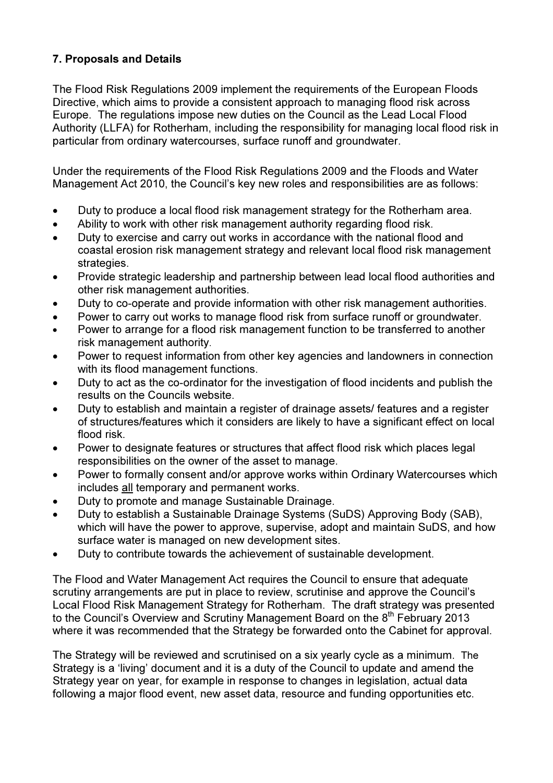# 7. Proposals and Details

The Flood Risk Regulations 2009 implement the requirements of the European Floods Directive, which aims to provide a consistent approach to managing flood risk across Europe. The regulations impose new duties on the Council as the Lead Local Flood Authority (LLFA) for Rotherham, including the responsibility for managing local flood risk in particular from ordinary watercourses, surface runoff and groundwater.

Under the requirements of the Flood Risk Regulations 2009 and the Floods and Water Management Act 2010, the Council's key new roles and responsibilities are as follows:

- Duty to produce a local flood risk management strategy for the Rotherham area.
- Ability to work with other risk management authority regarding flood risk.
- Duty to exercise and carry out works in accordance with the national flood and coastal erosion risk management strategy and relevant local flood risk management strategies.
- Provide strategic leadership and partnership between lead local flood authorities and other risk management authorities.
- Duty to co-operate and provide information with other risk management authorities.
- Power to carry out works to manage flood risk from surface runoff or groundwater.
- Power to arrange for a flood risk management function to be transferred to another risk management authority.
- Power to request information from other key agencies and landowners in connection with its flood management functions.
- Duty to act as the co-ordinator for the investigation of flood incidents and publish the results on the Councils website.
- Duty to establish and maintain a register of drainage assets/ features and a register of structures/features which it considers are likely to have a significant effect on local flood risk.
- Power to designate features or structures that affect flood risk which places legal responsibilities on the owner of the asset to manage.
- Power to formally consent and/or approve works within Ordinary Watercourses which includes all temporary and permanent works.
- Duty to promote and manage Sustainable Drainage.
- Duty to establish a Sustainable Drainage Systems (SuDS) Approving Body (SAB), which will have the power to approve, supervise, adopt and maintain SuDS, and how surface water is managed on new development sites.
- Duty to contribute towards the achievement of sustainable development.

The Flood and Water Management Act requires the Council to ensure that adequate scrutiny arrangements are put in place to review, scrutinise and approve the Council's Local Flood Risk Management Strategy for Rotherham. The draft strategy was presented to the Council's Overview and Scrutiny Management Board on the 8<sup>th</sup> February 2013 where it was recommended that the Strategy be forwarded onto the Cabinet for approval.

The Strategy will be reviewed and scrutinised on a six yearly cycle as a minimum. The Strategy is a 'living' document and it is a duty of the Council to update and amend the Strategy year on year, for example in response to changes in legislation, actual data following a major flood event, new asset data, resource and funding opportunities etc.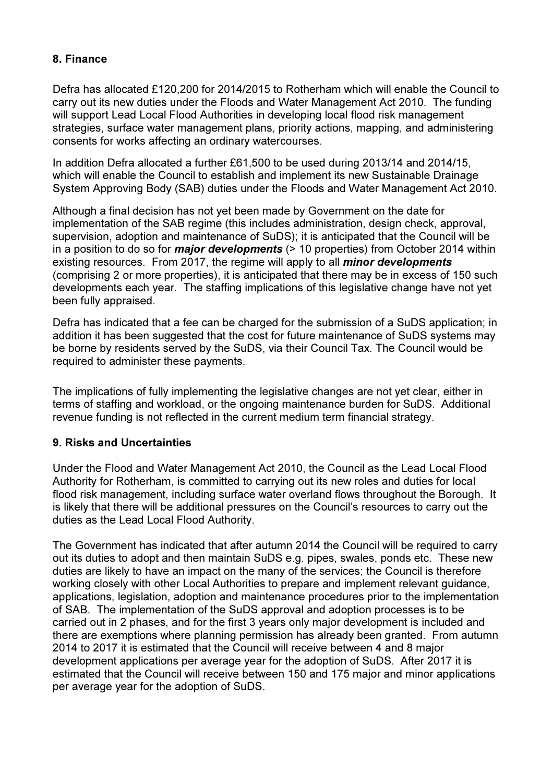## 8. Finance

Defra has allocated £120,200 for 2014/2015 to Rotherham which will enable the Council to carry out its new duties under the Floods and Water Management Act 2010. The funding will support Lead Local Flood Authorities in developing local flood risk management strategies, surface water management plans, priority actions, mapping, and administering consents for works affecting an ordinary watercourses.

In addition Defra allocated a further £61,500 to be used during 2013/14 and 2014/15, which will enable the Council to establish and implement its new Sustainable Drainage System Approving Body (SAB) duties under the Floods and Water Management Act 2010.

Although a final decision has not yet been made by Government on the date for implementation of the SAB regime (this includes administration, design check, approval, supervision, adoption and maintenance of SuDS); it is anticipated that the Council will be in a position to do so for *major developments* ( $> 10$  properties) from October 2014 within existing resources. From 2017, the regime will apply to all *minor developments* (comprising 2 or more properties), it is anticipated that there may be in excess of 150 such developments each year. The staffing implications of this legislative change have not yet been fully appraised.

Defra has indicated that a fee can be charged for the submission of a SuDS application; in addition it has been suggested that the cost for future maintenance of SuDS systems may be borne by residents served by the SuDS, via their Council Tax. The Council would be required to administer these payments.

The implications of fully implementing the legislative changes are not yet clear, either in terms of staffing and workload, or the ongoing maintenance burden for SuDS. Additional revenue funding is not reflected in the current medium term financial strategy.

## 9. Risks and Uncertainties

Under the Flood and Water Management Act 2010, the Council as the Lead Local Flood Authority for Rotherham, is committed to carrying out its new roles and duties for local flood risk management, including surface water overland flows throughout the Borough. It is likely that there will be additional pressures on the Council's resources to carry out the duties as the Lead Local Flood Authority.

The Government has indicated that after autumn 2014 the Council will be required to carry out its duties to adopt and then maintain SuDS e.g. pipes, swales, ponds etc. These new duties are likely to have an impact on the many of the services; the Council is therefore working closely with other Local Authorities to prepare and implement relevant guidance, applications, legislation, adoption and maintenance procedures prior to the implementation of SAB. The implementation of the SuDS approval and adoption processes is to be carried out in 2 phases, and for the first 3 years only major development is included and there are exemptions where planning permission has already been granted. From autumn 2014 to 2017 it is estimated that the Council will receive between 4 and 8 major development applications per average year for the adoption of SuDS. After 2017 it is estimated that the Council will receive between 150 and 175 major and minor applications per average year for the adoption of SuDS.